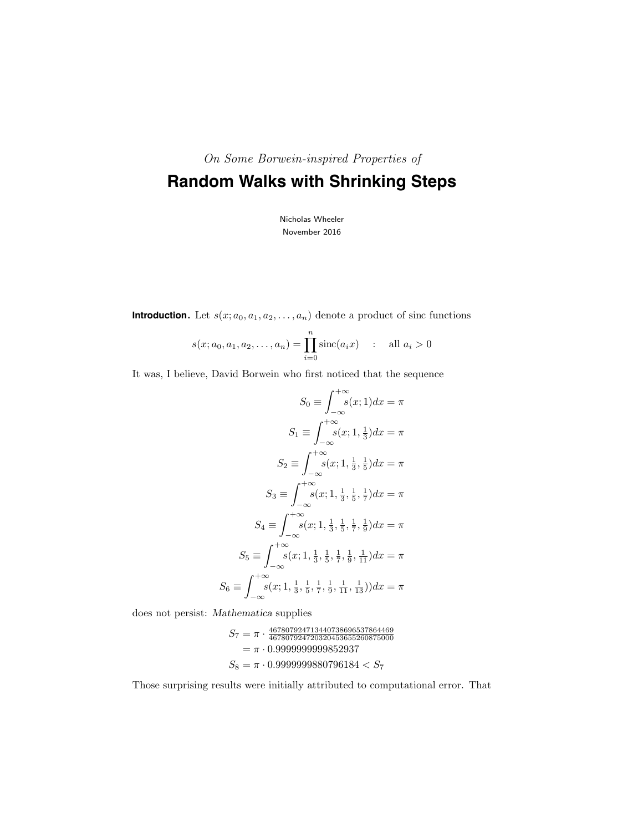On Some Borwein-inspired Properties of

# **Random Walks with Shrinking Steps**

Nicholas Wheeler November 2016

**Introduction.** Let  $s(x; a_0, a_1, a_2, \ldots, a_n)$  denote a product of sinc functions

$$
s(x; a_0, a_1, a_2, \dots, a_n) = \prod_{i=0}^{n} \text{sinc}(a_i x) \quad : \quad \text{all } a_i > 0
$$

It was, I believe, David Borwein who first noticed that the sequence

$$
S_0 \equiv \int_{-\infty}^{+\infty} s(x; 1) dx = \pi
$$

$$
S_1 \equiv \int_{-\infty}^{+\infty} s(x; 1, \frac{1}{3}) dx = \pi
$$

$$
S_2 \equiv \int_{-\infty}^{+\infty} s(x; 1, \frac{1}{3}, \frac{1}{5}) dx = \pi
$$

$$
S_3 \equiv \int_{-\infty}^{+\infty} s(x; 1, \frac{1}{3}, \frac{1}{5}, \frac{1}{7}) dx = \pi
$$

$$
S_4 \equiv \int_{-\infty}^{+\infty} s(x; 1, \frac{1}{3}, \frac{1}{5}, \frac{1}{7}, \frac{1}{9}) dx = \pi
$$

$$
S_5 \equiv \int_{-\infty}^{+\infty} s(x; 1, \frac{1}{3}, \frac{1}{5}, \frac{1}{7}, \frac{1}{9}, \frac{1}{11}) dx = \pi
$$

$$
S_6 \equiv \int_{-\infty}^{+\infty} s(x; 1, \frac{1}{3}, \frac{1}{5}, \frac{1}{7}, \frac{1}{9}, \frac{1}{11}, \frac{1}{13}) dx = \pi
$$

does not persist: Mathematica supplies

$$
S_7 = \pi \cdot \frac{467807924713440738696537864469}{467807924720320453655260875000}
$$

$$
= \pi \cdot 0.999999999852937
$$

$$
S_8 = \pi \cdot 0.999999880796184 < S_7
$$

Those surprising results were initially attributed to computational error. That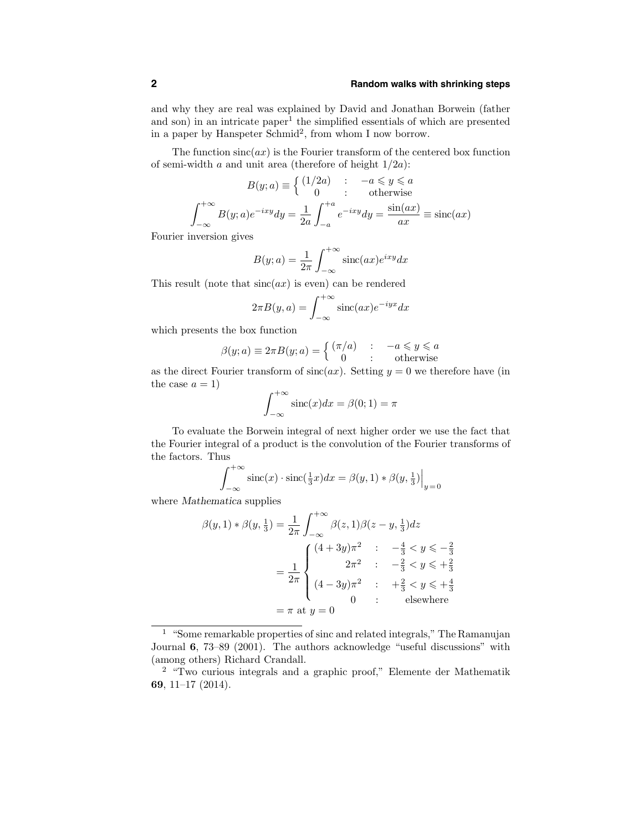### **2 Random walks with shrinking steps**

and why they are real was explained by David and Jonathan Borwein (father and son) in an intricate paper<sup>1</sup> the simplified essentials of which are presented in a paper by Hanspeter Schmid<sup>2</sup>, from whom I now borrow.

The function  $sinc(ax)$  is the Fourier transform of the centered box function of semi-width  $a$  and unit area (therefore of height  $1/2a$ ):

$$
B(y;a) \equiv \begin{cases} (1/2a) & : \quad -a \leq y \leq a \\ 0 & : \quad \text{otherwise} \end{cases}
$$
\n
$$
\int_{-\infty}^{+\infty} B(y;a)e^{-ixy}dy = \frac{1}{2a} \int_{-a}^{+a} e^{-ixy}dy = \frac{\sin(ax)}{ax} \equiv \text{sinc}(ax)
$$

Fourier inversion gives

$$
B(y;a) = \frac{1}{2\pi} \int_{-\infty}^{+\infty} \operatorname{sinc}(ax) e^{ixy} dx
$$

This result (note that  $sinc(ax)$  is even) can be rendered

$$
2\pi B(y, a) = \int_{-\infty}^{+\infty} \operatorname{sinc}(ax) e^{-iyx} dx
$$

which presents the box function

$$
\beta(y;a) \equiv 2\pi B(y;a) = \begin{cases} (\pi/a) & : & -a \leq y \leq a \\ 0 & : & \text{otherwise} \end{cases}
$$

as the direct Fourier transform of  $sinc(ax)$ . Setting  $y = 0$  we therefore have (in the case  $a = 1$ )

$$
\int_{-\infty}^{+\infty} \operatorname{sinc}(x) dx = \beta(0; 1) = \pi
$$

To evaluate the Borwein integral of next higher order we use the fact that the Fourier integral of a product is the convolution of the Fourier transforms of the factors. Thus

$$
\int_{-\infty}^{+\infty} \operatorname{sinc}(x) \cdot \operatorname{sinc}(\frac{1}{3}x) dx = \beta(y, 1) * \beta(y, \frac{1}{3})\Big|_{y=0}
$$

where Mathematica supplies

$$
\beta(y,1) * \beta(y,\frac{1}{3}) = \frac{1}{2\pi} \int_{-\infty}^{+\infty} \beta(z,1) \beta(z-y,\frac{1}{3}) dz
$$
  
= 
$$
\frac{1}{2\pi} \begin{cases} (4+3y)\pi^2 & : & -\frac{4}{3} < y \leq -\frac{2}{3} \\ 2\pi^2 & : & -\frac{2}{3} < y \leq +\frac{2}{3} \\ (4-3y)\pi^2 & : & +\frac{2}{3} < y \leq +\frac{4}{3} \\ 0 & : & \text{elsewhere} \end{cases}
$$
  
=  $\pi$  at  $y = 0$ 

<sup>1</sup> "Some remarkable properties of sinc and related integrals," The Ramanujan Journal 6, 73–89 (2001). The authors acknowledge "useful discussions" with (among others) Richard Crandall.

<sup>2</sup> "Two curious integrals and a graphic proof," Elemente der Mathematik 69, 11–17 (2014).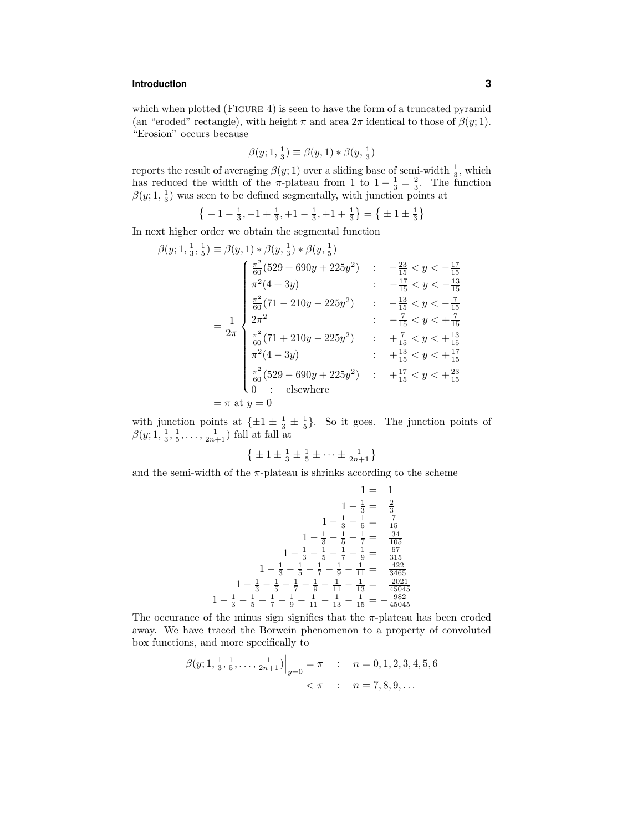# **Introduction 3**

which when plotted (FIGURE 4) is seen to have the form of a truncated pyramid (an "eroded" rectangle), with height  $\pi$  and area  $2\pi$  identical to those of  $\beta(y; 1)$ . "Erosion" occurs because

$$
\beta(y; 1, \frac{1}{3}) \equiv \beta(y, 1) * \beta(y, \frac{1}{3})
$$

reports the result of averaging  $\beta(y; 1)$  over a sliding base of semi-width  $\frac{1}{3}$ , which has reduced the width of the π-plateau from 1 to  $1 - \frac{1}{3} = \frac{2}{3}$ . The function  $\beta(y; 1, \frac{1}{3})$  was seen to be defined segmentally, with junction points at

$$
\left\{-1-\frac{1}{3},-1+\frac{1}{3},+1-\frac{1}{3},+1+\frac{1}{3}\right\} = \left\{\pm 1 \pm \frac{1}{3}\right\}
$$

In next higher order we obtain the segmental function

$$
\beta(y; 1, \frac{1}{3}, \frac{1}{5}) \equiv \beta(y, 1) * \beta(y, \frac{1}{3}) * \beta(y, \frac{1}{5})
$$
\n
$$
\begin{cases}\n\frac{\pi^2}{60} (529 + 690y + 225y^2) & \cdots & -\frac{23}{15} < y < -\frac{17}{15} \\
\pi^2 (4 + 3y) & \cdots & \cdots & -\frac{17}{15} < y < -\frac{13}{15} \\
\frac{\pi^2}{60} (71 - 210y - 225y^2) & \cdots & -\frac{13}{15} < y < -\frac{7}{15} \\
2\pi^2 & \cdots & -\frac{7}{15} < y < +\frac{7}{15} \\
\frac{\pi^2}{60} (71 + 210y - 225y^2) & \cdots & +\frac{7}{15} < y < +\frac{13}{15} \\
\pi^2 (4 - 3y) & \cdots & +\frac{13}{15} < y < +\frac{17}{15} \\
\frac{\pi^2}{60} (529 - 690y + 225y^2) & \cdots & +\frac{17}{15} < y < +\frac{23}{15} \\
0 & \cdots & \text{elsewhere}\n\end{cases}
$$

with junction points at  $\{\pm 1 \pm \frac{1}{3} \pm \frac{1}{5}\}\$ . So it goes. The junction points of  $\beta(y; 1, \frac{1}{3}, \frac{1}{5}, \ldots, \frac{1}{2n+1})$  fall at fall at

$$
\left\{\pm 1 \pm \frac{1}{3} \pm \frac{1}{5} \pm \cdots \pm \frac{1}{2n+1}\right\}
$$

and the semi-width of the  $\pi$ -plateau is shrinks according to the scheme

$$
1 = 1
$$
  
\n
$$
1 - \frac{1}{3} = \frac{2}{3}
$$
  
\n
$$
1 - \frac{1}{3} - \frac{1}{5} = \frac{7}{15}
$$
  
\n
$$
1 - \frac{1}{3} - \frac{1}{5} - \frac{1}{7} = \frac{34}{105}
$$
  
\n
$$
1 - \frac{1}{3} - \frac{1}{5} - \frac{1}{7} - \frac{1}{9} = \frac{67}{315}
$$
  
\n
$$
1 - \frac{1}{3} - \frac{1}{5} - \frac{1}{7} - \frac{1}{9} - \frac{1}{11} = \frac{422}{3465}
$$
  
\n
$$
1 - \frac{1}{3} - \frac{1}{5} - \frac{1}{7} - \frac{1}{9} - \frac{1}{11} - \frac{1}{13} = \frac{2021}{45045}
$$
  
\n
$$
1 - \frac{1}{3} - \frac{1}{5} - \frac{1}{7} - \frac{1}{9} - \frac{1}{11} - \frac{1}{13} - \frac{1}{15} = -\frac{982}{45045}
$$

The occurance of the minus sign signifies that the  $\pi$ -plateau has been eroded away. We have traced the Borwein phenomenon to a property of convoluted box functions, and more specifically to

$$
\beta(y; 1, \frac{1}{3}, \frac{1}{5}, \dots, \frac{1}{2n+1})\Big|_{y=0} = \pi
$$
 :  $n = 0, 1, 2, 3, 4, 5, 6$   
<  $\pi$  :  $n = 7, 8, 9, \dots$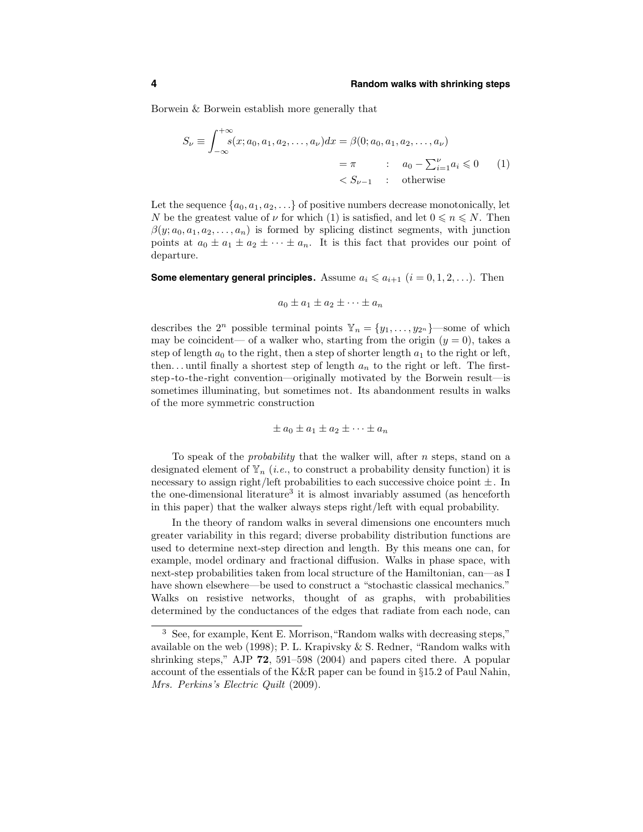Borwein & Borwein establish more generally that

$$
S_{\nu} \equiv \int_{-\infty}^{+\infty} s(x; a_0, a_1, a_2, \dots, a_{\nu}) dx = \beta(0; a_0, a_1, a_2, \dots, a_{\nu})
$$
  
=  $\pi$  :  $a_0 - \sum_{i=1}^{\nu} a_i \le 0$  (1)  
<  $S_{\nu-1}$  : otherwise

Let the sequence  $\{a_0, a_1, a_2, \ldots\}$  of positive numbers decrease monotonically, let N be the greatest value of  $\nu$  for which (1) is satisfied, and let  $0 \le n \le N$ . Then  $\beta(y; a_0, a_1, a_2, \ldots, a_n)$  is formed by splicing distinct segments, with junction points at  $a_0 \pm a_1 \pm a_2 \pm \cdots \pm a_n$ . It is this fact that provides our point of departure.

**Some elementary general principles.** Assume  $a_i \leq a_{i+1}$   $(i = 0, 1, 2, \ldots)$ . Then

 $a_0 \pm a_1 \pm a_2 \pm \cdots \pm a_n$ 

describes the  $2^n$  possible terminal points  $\mathbb{Y}_n = \{y_1, \ldots, y_{2^n}\}$ —some of which may be coincident— of a walker who, starting from the origin  $(y = 0)$ , takes a step of length  $a_0$  to the right, then a step of shorter length  $a_1$  to the right or left, then... until finally a shortest step of length  $a_n$  to the right or left. The firststep -to-the-right convention—originally motivated by the Borwein result—is sometimes illuminating, but sometimes not. Its abandonment results in walks of the more symmetric construction

$$
\pm a_0 \pm a_1 \pm a_2 \pm \cdots \pm a_n
$$

To speak of the probability that the walker will, after n steps, stand on a designated element of  $\mathbb{Y}_n$  (*i.e.*, to construct a probability density function) it is necessary to assign right/left probabilities to each successive choice point  $\pm$ . In the one-dimensional literature<sup>3</sup> it is almost invariably assumed (as henceforth in this paper) that the walker always steps right/left with equal probability.

In the theory of random walks in several dimensions one encounters much greater variability in this regard; diverse probability distribution functions are used to determine next-step direction and length. By this means one can, for example, model ordinary and fractional diffusion. Walks in phase space, with next-step probabilities taken from local structure of the Hamiltonian, can—as I have shown elsewhere—be used to construct a "stochastic classical mechanics." Walks on resistive networks, thought of as graphs, with probabilities determined by the conductances of the edges that radiate from each node, can

<sup>3</sup> See, for example, Kent E. Morrison,"Random walks with decreasing steps," available on the web (1998); P. L. Krapivsky & S. Redner, "Random walks with shrinking steps," AJP 72, 591–598 (2004) and papers cited there. A popular account of the essentials of the K&R paper can be found in §15.2 of Paul Nahin, Mrs. Perkins's Electric Quilt (2009).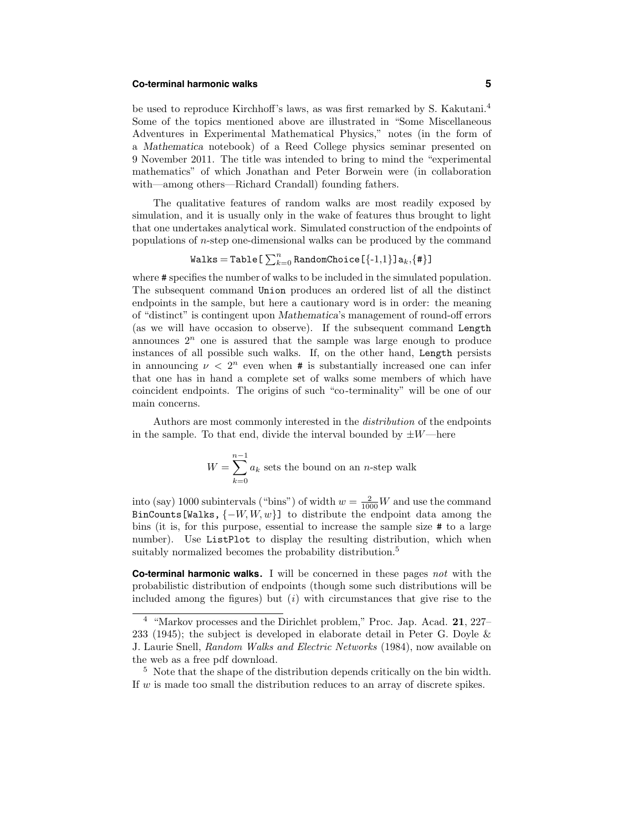### **Co-terminal harmonic walks 5**

be used to reproduce Kirchhoff's laws, as was first remarked by S. Kakutani.<sup>4</sup> Some of the topics mentioned above are illustrated in "Some Miscellaneous Adventures in Experimental Mathematical Physics," notes (in the form of a Mathematica notebook) of a Reed College physics seminar presented on 9 November 2011. The title was intended to bring to mind the "experimental mathematics" of which Jonathan and Peter Borwein were (in collaboration with—among others—Richard Crandall) founding fathers.

The qualitative features of random walks are most readily exposed by simulation, and it is usually only in the wake of features thus brought to light that one undertakes analytical work. Simulated construction of the endpoints of populations of n-step one-dimensional walks can be produced by the command

$$
\mathtt{Walks} = \mathtt{Table[}\sum_{k=0}^{n} \mathtt{RandomChoice[\{-1,1\}]a}_{k}, \{\#\}]
$$

where  $\#$  specifies the number of walks to be included in the simulated population. The subsequent command Union produces an ordered list of all the distinct endpoints in the sample, but here a cautionary word is in order: the meaning of "distinct" is contingent upon Mathematica's management of round-off errors (as we will have occasion to observe). If the subsequent command Length announces  $2^n$  one is assured that the sample was large enough to produce instances of all possible such walks. If, on the other hand, Length persists in announcing  $\nu < 2^n$  even when # is substantially increased one can infer that one has in hand a complete set of walks some members of which have coincident endpoints. The origins of such "co-terminality" will be one of our main concerns.

Authors are most commonly interested in the distribution of the endpoints in the sample. To that end, divide the interval bounded by  $\pm W$ —here

$$
W = \sum_{k=0}^{n-1} a_k
$$
 sets the bound on an *n*-step walk

into (say) 1000 subintervals ("bins") of width  $w = \frac{2}{1000}W$  and use the command BinCounts[Walks,  $\{-W, W, w\}$ ] to distribute the endpoint data among the bins (it is, for this purpose, essential to increase the sample size # to a large number). Use ListPlot to display the resulting distribution, which when suitably normalized becomes the probability distribution.<sup>5</sup>

**Co-terminal harmonic walks.** I will be concerned in these pages not with the probabilistic distribution of endpoints (though some such distributions will be included among the figures) but  $(i)$  with circumstances that give rise to the

<sup>5</sup> Note that the shape of the distribution depends critically on the bin width. If  $w$  is made too small the distribution reduces to an array of discrete spikes.

<sup>&</sup>lt;sup>4</sup> "Markov processes and the Dirichlet problem," Proc. Jap. Acad. **21**, 227– 233 (1945); the subject is developed in elaborate detail in Peter G. Doyle & J. Laurie Snell, Random Walks and Electric Networks (1984), now available on the web as a free pdf download.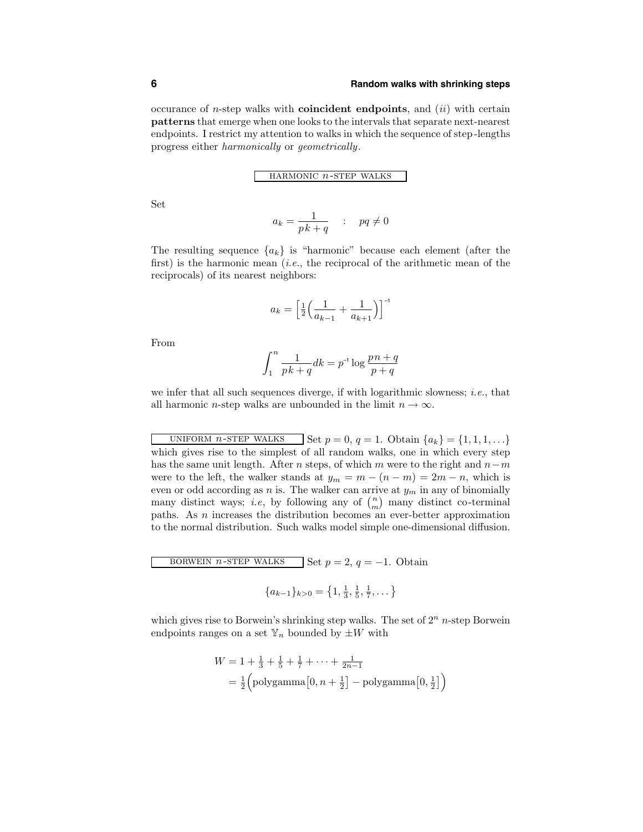occurance of *n*-step walks with **coincident endpoints**, and  $(ii)$  with certain patterns that emerge when one looks to the intervals that separate next-nearest endpoints. I restrict my attention to walks in which the sequence of step -lengths progress either harmonically or geometrically.

HARMONIC  $n\text{-}s\text{TEP}$  WALKS

Set

$$
a_k = \frac{1}{pk + q} \quad : \quad pq \neq 0
$$

The resulting sequence  ${a_k}$  is "harmonic" because each element (after the first) is the harmonic mean (*i.e.*, the reciprocal of the arithmetic mean of the reciprocals) of its nearest neighbors:

$$
a_k = \left[\frac{1}{2}\left(\frac{1}{a_{k-1}} + \frac{1}{a_{k+1}}\right)\right]^{-1}
$$

From

$$
\int_1^n \frac{1}{p k + q} dk = p^{-1} \log \frac{p n + q}{p + q}
$$

we infer that all such sequences diverge, if with logarithmic slowness; *i.e.*, that all harmonic *n*-step walks are unbounded in the limit  $n \to \infty$ .

UNIFORM *n*-STEP WALKS Set  $p = 0, q = 1$ . Obtain  $\{a_k\} = \{1, 1, 1, \ldots\}$ which gives rise to the simplest of all random walks, one in which every step has the same unit length. After *n* steps, of which m were to the right and  $n-m$ were to the left, the walker stands at  $y_m = m - (n - m) = 2m - n$ , which is even or odd according as n is. The walker can arrive at  $y_m$  in any of binomially many distinct ways; *i.e.*, by following any of  $\binom{n}{m}$  many distinct co-terminal paths. As n increases the distribution becomes an ever-better approximation to the normal distribution. Such walks model simple one-dimensional diffusion.

BORWEIN *n*-STEP WALKS Set  $p = 2$ ,  $q = -1$ . Obtain  $\int_{a}^{b}$   $\frac{1}{b}$ 

$$
\{a_{k-1}\}_{k>0} = \left\{1, \frac{1}{3}, \frac{1}{5}, \frac{1}{7}, \dots\right\}
$$

which gives rise to Borwein's shrinking step walks. The set of  $2<sup>n</sup>$  n-step Borwein endpoints ranges on a set  $\mathbb{Y}_n$  bounded by  $\pm W$  with

$$
W = 1 + \frac{1}{3} + \frac{1}{5} + \frac{1}{7} + \dots + \frac{1}{2n-1}
$$
  
=  $\frac{1}{2}$  (polygamma $[0, n + \frac{1}{2}]$  - polygamma $[0, \frac{1}{2}]$ )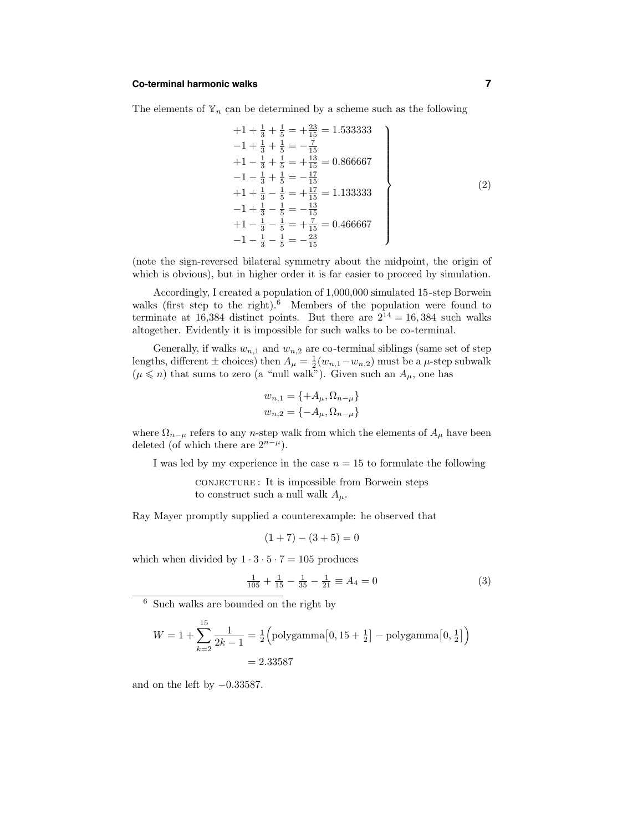### **Co-terminal harmonic walks 7**

The elements of  $\mathbb{Y}_n$  can be determined by a scheme such as the following

$$
+1 + \frac{1}{3} + \frac{1}{5} = +\frac{23}{15} = 1.533333
$$
  
\n
$$
-1 + \frac{1}{3} + \frac{1}{5} = -\frac{7}{15}
$$
  
\n
$$
+1 - \frac{1}{3} + \frac{1}{5} = +\frac{13}{15} = 0.866667
$$
  
\n
$$
-1 - \frac{1}{3} + \frac{1}{5} = -\frac{17}{15}
$$
  
\n
$$
+1 + \frac{1}{3} - \frac{1}{5} = +\frac{17}{15} = 1.133333
$$
  
\n
$$
-1 + \frac{1}{3} - \frac{1}{5} = -\frac{13}{15}
$$
  
\n
$$
+1 - \frac{1}{3} - \frac{1}{5} = +\frac{7}{15} = 0.466667
$$
  
\n
$$
-1 - \frac{1}{3} - \frac{1}{5} = -\frac{23}{15}
$$
  
\n(2)

(note the sign-reversed bilateral symmetry about the midpoint, the origin of which is obvious), but in higher order it is far easier to proceed by simulation.

Accordingly, I created a population of 1,000,000 simulated 15-step Borwein walks (first step to the right). $6$  Members of the population were found to terminate at 16,384 distinct points. But there are  $2^{14} = 16,384$  such walks altogether. Evidently it is impossible for such walks to be co-terminal.

Generally, if walks  $w_{n,1}$  and  $w_{n,2}$  are co-terminal siblings (same set of step lengths, different  $\pm$  choices) then  $A_{\mu} = \frac{1}{2}(w_{n,1} - w_{n,2})$  must be a  $\mu$ -step subwalk  $(\mu \leq n)$  that sums to zero (a "null walk"). Given such an  $A_{\mu}$ , one has

$$
w_{n,1} = \{ +A_{\mu}, \Omega_{n-\mu} \}
$$
  

$$
w_{n,2} = \{ -A_{\mu}, \Omega_{n-\mu} \}
$$

where  $\Omega_{n-\mu}$  refers to any n-step walk from which the elements of  $A_{\mu}$  have been deleted (of which there are  $2^{n-\mu}$ ).

I was led by my experience in the case  $n = 15$  to formulate the following

conjecture : It is impossible from Borwein steps to construct such a null walk  $A_\mu$ .

Ray Mayer promptly supplied a counterexample: he observed that

$$
(1+7) - (3+5) = 0
$$

which when divided by  $1 \cdot 3 \cdot 5 \cdot 7 = 105$  produces

$$
\frac{1}{105} + \frac{1}{15} - \frac{1}{35} - \frac{1}{21} \equiv A_4 = 0
$$
 (3)

<sup>6</sup> Such walks are bounded on the right by

$$
W = 1 + \sum_{k=2}^{15} \frac{1}{2k - 1} = \frac{1}{2} \left( \text{polygamma} \left[ 0, 15 + \frac{1}{2} \right] - \text{polygamma} \left[ 0, \frac{1}{2} \right] \right)
$$
  
= 2.33587

and on the left by  $-0.33587$ .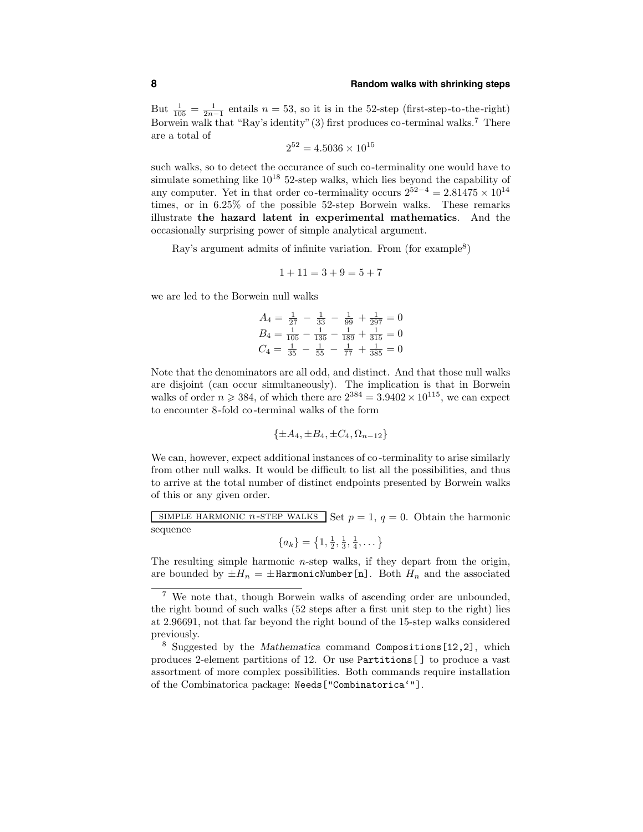# **8 Random walks with shrinking steps**

But  $\frac{1}{105} = \frac{1}{2n-1}$  entails  $n = 53$ , so it is in the 52-step (first-step-to-the-right) Borwein walk that "Ray's identity" (3) first produces co-terminal walks.<sup>7</sup> There are a total of

$$
2^{52} = 4.5036 \times 10^{15}
$$

such walks, so to detect the occurance of such co-terminality one would have to simulate something like  $10^{18}$  52-step walks, which lies beyond the capability of any computer. Yet in that order co-terminality occurs  $2^{52-4} = 2.81475 \times 10^{14}$ times, or in 6.25% of the possible 52-step Borwein walks. These remarks illustrate the hazard latent in experimental mathematics. And the occasionally surprising power of simple analytical argument.

Ray's argument admits of infinite variation. From (for example<sup>8</sup>)

$$
1 + 11 = 3 + 9 = 5 + 7
$$

we are led to the Borwein null walks

$$
A_4 = \frac{1}{27} - \frac{1}{33} - \frac{1}{99} + \frac{1}{297} = 0
$$
  
\n
$$
B_4 = \frac{1}{105} - \frac{1}{135} - \frac{1}{189} + \frac{1}{315} = 0
$$
  
\n
$$
C_4 = \frac{1}{35} - \frac{1}{55} - \frac{1}{77} + \frac{1}{385} = 0
$$

Note that the denominators are all odd, and distinct. And that those null walks are disjoint (can occur simultaneously). The implication is that in Borwein walks of order  $n \geq 384$ , of which there are  $2^{384} = 3.9402 \times 10^{115}$ , we can expect to encounter 8-fold co -terminal walks of the form

$$
\{\pm A_4, \pm B_4, \pm C_4, \Omega_{n-12}\}\
$$

We can, however, expect additional instances of co-terminality to arise similarly from other null walks. It would be difficult to list all the possibilities, and thus to arrive at the total number of distinct endpoints presented by Borwein walks of this or any given order.

SIMPLE HARMONIC *n*-STEP WALKS Set  $p = 1$ ,  $q = 0$ . Obtain the harmonic sequence

$$
\{a_k\} = \left\{1, \frac{1}{2}, \frac{1}{3}, \frac{1}{4}, \dots\right\}
$$

The resulting simple harmonic  $n$ -step walks, if they depart from the origin, are bounded by  $\pm H_n = \pm$ HarmonicNumber[n]. Both  $H_n$  and the associated

<sup>7</sup> We note that, though Borwein walks of ascending order are unbounded, the right bound of such walks (52 steps after a first unit step to the right) lies at 2.96691, not that far beyond the right bound of the 15-step walks considered previously.

<sup>8</sup> Suggested by the Mathematica command Compositions[12,2], which produces 2-element partitions of 12. Or use Partitions[ ] to produce a vast assortment of more complex possibilities. Both commands require installation of the Combinatorica package: Needs["Combinatorica'"].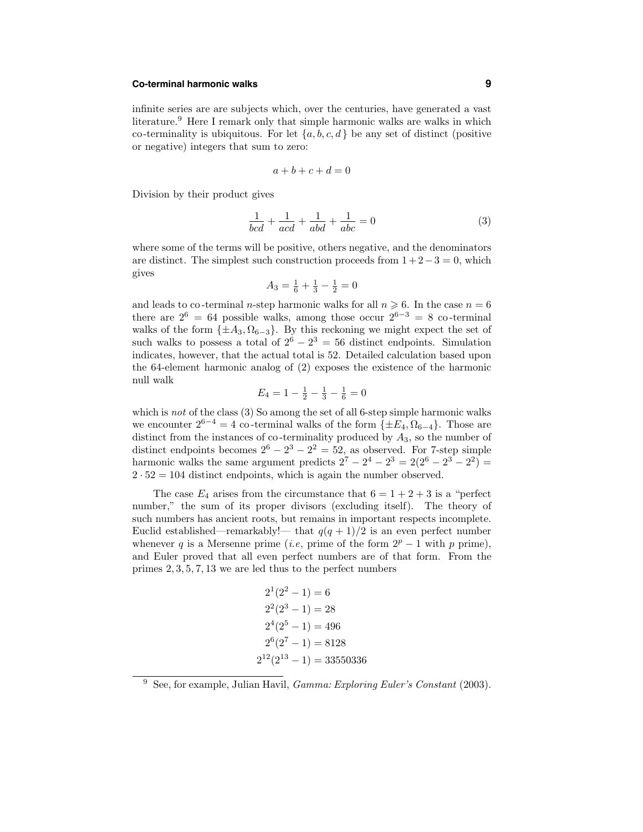# **Co-terminal harmonic walks 9**

infinite series are are subjects which, over the centuries, have generated a vast literature.<sup>9</sup> Here I remark only that simple harmonic walks are walks in which co-terminality is ubiquitous. For let  $\{a, b, c, d\}$  be any set of distinct (positive or negative) integers that sum to zero:

$$
a+b+c+d=0
$$

Division by their product gives

$$
\frac{1}{bcd} + \frac{1}{acd} + \frac{1}{abd} + \frac{1}{abc} = 0
$$
 (3)

where some of the terms will be positive, others negative, and the denominators are distinct. The simplest such construction proceeds from  $1+2-3=0$ , which gives

$$
A_3 = \frac{1}{6} + \frac{1}{3} - \frac{1}{2} = 0
$$

and leads to co-terminal *n*-step harmonic walks for all  $n \geq 6$ . In the case  $n = 6$ there are  $2^6 = 64$  possible walks, among those occur  $2^{6-3} = 8$  co-terminal walks of the form  $\{\pm A_3, \Omega_{6-3}\}\$ . By this reckoning we might expect the set of such walks to possess a total of  $2^6 - 2^3 = 56$  distinct endpoints. Simulation indicates, however, that the actual total is 52. Detailed calculation based upon the 64-element harmonic analog of (2) exposes the existence of the harmonic null walk

$$
E_4 = 1 - \frac{1}{2} - \frac{1}{3} - \frac{1}{6} = 0
$$

which is not of the class (3) So among the set of all 6-step simple harmonic walks we encounter  $2^{6-4} = 4$  co-terminal walks of the form  $\{\pm E_4, \Omega_{6-4}\}.$  Those are distinct from the instances of co-terminality produced by  $A_3$ , so the number of distinct endpoints becomes  $2^6 - 2^3 - 2^2 = 52$ , as observed. For 7-step simple harmonic walks the same argument predicts  $2^7 - 2^4 - 2^3 = 2(2^6 - 2^3 - 2^2)$  $2 \cdot 52 = 104$  distinct endpoints, which is again the number observed.

The case  $E_4$  arises from the circumstance that  $6 = 1 + 2 + 3$  is a "perfect" number," the sum of its proper divisors (excluding itself). The theory of such numbers has ancient roots, but remains in important respects incomplete. Euclid established—remarkably!— that  $q(q + 1)/2$  is an even perfect number whenever q is a Mersenne prime (i.e, prime of the form  $2^p - 1$  with p prime), and Euler proved that all even perfect numbers are of that form. From the primes 2, 3, 5, 7, 13 we are led thus to the perfect numbers

$$
21(22 - 1) = 6
$$
  
\n
$$
22(23 - 1) = 28
$$
  
\n
$$
24(25 - 1) = 496
$$
  
\n
$$
26(27 - 1) = 8128
$$
  
\n
$$
212(213 - 1) = 33550336
$$

<sup>&</sup>lt;sup>9</sup> See, for example, Julian Havil, *Gamma: Exploring Euler's Constant* (2003).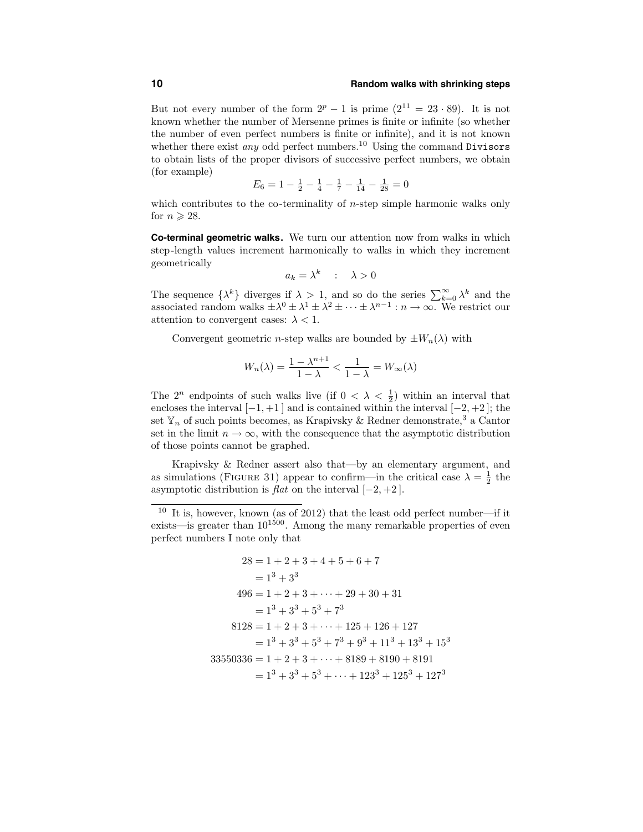### **10 Random walks with shrinking steps**

But not every number of the form  $2^p - 1$  is prime  $(2^{11} = 23 \cdot 89)$ . It is not known whether the number of Mersenne primes is finite or infinite (so whether the number of even perfect numbers is finite or infinite), and it is not known whether there exist *any* odd perfect numbers.<sup>10</sup> Using the command Divisors to obtain lists of the proper divisors of successive perfect numbers, we obtain (for example)

$$
E_6 = 1 - \frac{1}{2} - \frac{1}{4} - \frac{1}{7} - \frac{1}{14} - \frac{1}{28} = 0
$$

which contributes to the co-terminality of  $n$ -step simple harmonic walks only for  $n \geqslant 28$ .

**Co-terminal geometric walks.** We turn our attention now from walks in which step-length values increment harmonically to walks in which they increment geometrically

$$
a_k = \lambda^k \quad : \quad \lambda > 0
$$

The sequence  $\{\lambda^k\}$  diverges if  $\lambda > 1$ , and so do the series  $\sum_{k=0}^{\infty} \lambda^k$  and the associated random walks  $\pm \lambda^0 \pm \lambda^1 \pm \lambda^2 \pm \cdots \pm \lambda^{n-1} : n \to \infty$ . We restrict our attention to convergent cases:  $\lambda < 1$ .

Convergent geometric *n*-step walks are bounded by  $\pm W_n(\lambda)$  with

$$
W_n(\lambda) = \frac{1 - \lambda^{n+1}}{1 - \lambda} < \frac{1}{1 - \lambda} = W_\infty(\lambda)
$$

The  $2^n$  endpoints of such walks live (if  $0 < \lambda < \frac{1}{2}$ ) within an interval that encloses the interval  $[-1, +1]$  and is contained within the interval  $[-2, +2]$ ; the set  $\mathbb{Y}_n$  of such points becomes, as Krapivsky & Redner demonstrate,<sup>3</sup> a Cantor set in the limit  $n \to \infty$ , with the consequence that the asymptotic distribution of those points cannot be graphed.

Krapivsky & Redner assert also that—by an elementary argument, and as simulations (FIGURE 31) appear to confirm—in the critical case  $\lambda = \frac{1}{2}$  the asymptotic distribution is  $flat$  on the interval  $[-2, +2]$ .

$$
28 = 1 + 2 + 3 + 4 + 5 + 6 + 7
$$
  
\n
$$
= 13 + 33
$$
  
\n
$$
496 = 1 + 2 + 3 + \dots + 29 + 30 + 31
$$
  
\n
$$
= 13 + 33 + 53 + 73
$$
  
\n
$$
8128 = 1 + 2 + 3 + \dots + 125 + 126 + 127
$$
  
\n
$$
= 13 + 33 + 53 + 73 + 93 + 113 + 133 + 153
$$
  
\n
$$
33550336 = 1 + 2 + 3 + \dots + 8189 + 8190 + 8191
$$
  
\n
$$
= 13 + 33 + 53 + \dots + 1233 + 1253 + 1273
$$

<sup>&</sup>lt;sup>10</sup> It is, however, known (as of 2012) that the least odd perfect number—if it exists—is greater than  $10^{1500}$ . Among the many remarkable properties of even perfect numbers I note only that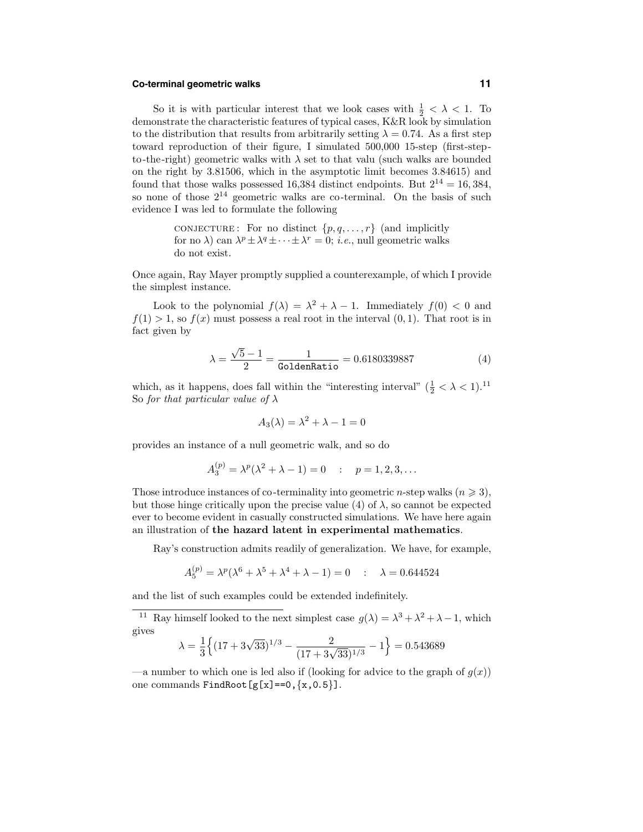### **Co-terminal geometric walks 11**

So it is with particular interest that we look cases with  $\frac{1}{2} < \lambda < 1$ . To demonstrate the characteristic features of typical cases, K&R look by simulation to the distribution that results from arbitrarily setting  $\lambda = 0.74$ . As a first step toward reproduction of their figure, I simulated 500,000 15-step (first-stepto-the-right) geometric walks with  $\lambda$  set to that valu (such walks are bounded on the right by 3.81506, which in the asymptotic limit becomes 3.84615) and found that those walks possessed 16,384 distinct endpoints. But  $2^{14} = 16,384$ , so none of those  $2^{14}$  geometric walks are co-terminal. On the basis of such evidence I was led to formulate the following

> CONJECTURE: For no distinct  $\{p, q, \ldots, r\}$  (and implicitly for no  $\lambda$ ) can  $\lambda^p \pm \lambda^q \pm \cdots \pm \lambda^r = 0$ ; *i.e.*, null geometric walks do not exist.

Once again, Ray Mayer promptly supplied a counterexample, of which I provide the simplest instance.

Look to the polynomial  $f(\lambda) = \lambda^2 + \lambda - 1$ . Immediately  $f(0) < 0$  and  $f(1) > 1$ , so  $f(x)$  must possess a real root in the interval  $(0, 1)$ . That root is in fact given by

$$
\lambda = \frac{\sqrt{5} - 1}{2} = \frac{1}{\text{GoldenRatio}} = 0.6180339887
$$
 (4)

which, as it happens, does fall within the "interesting interval"  $(\frac{1}{2} < \lambda < 1).^{11}$ So for that particular value of  $\lambda$ 

$$
A_3(\lambda) = \lambda^2 + \lambda - 1 = 0
$$

provides an instance of a null geometric walk, and so do

$$
A_3^{(p)} = \lambda^p (\lambda^2 + \lambda - 1) = 0 \quad : \quad p = 1, 2, 3, \dots
$$

Those introduce instances of co-terminality into geometric *n*-step walks  $(n \geq 3)$ , but those hinge critically upon the precise value (4) of  $\lambda$ , so cannot be expected ever to become evident in casually constructed simulations. We have here again an illustration of the hazard latent in experimental mathematics.

Ray's construction admits readily of generalization. We have, for example,

$$
A_5^{(p)} = \lambda^p (\lambda^6 + \lambda^5 + \lambda^4 + \lambda - 1) = 0 \quad : \quad \lambda = 0.644524
$$

and the list of such examples could be extended indefinitely.

<sup>11</sup> Ray himself looked to the next simplest case  $g(\lambda) = \lambda^3 + \lambda^2 + \lambda - 1$ , which gives

$$
\lambda = \frac{1}{3} \left\{ (17 + 3\sqrt{33})^{1/3} - \frac{2}{(17 + 3\sqrt{33})^{1/3}} - 1 \right\} = 0.543689
$$

—a number to which one is led also if (looking for advice to the graph of  $g(x)$ ) one commands  $FindRoot[g[x]=0, {x, 0.5}]$ .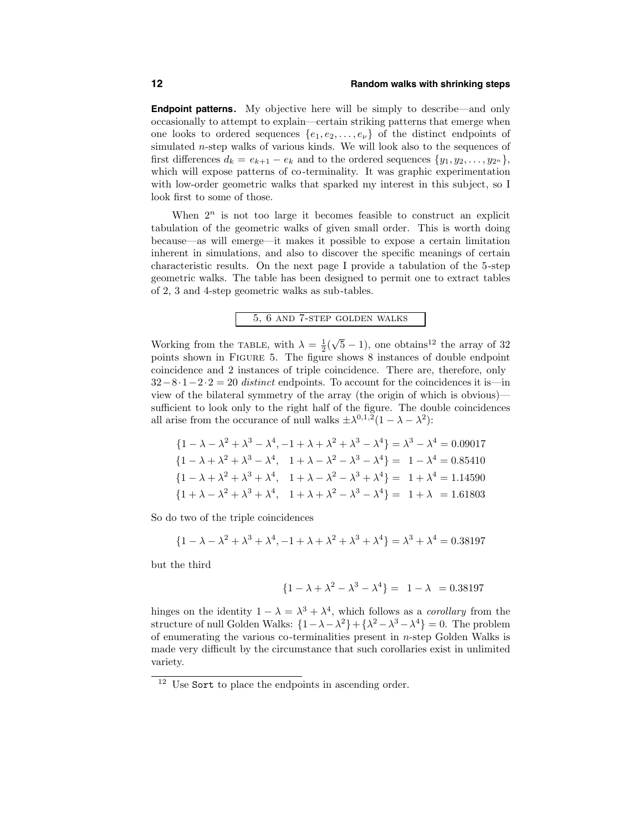**Endpoint patterns.** My objective here will be simply to describe—and only occasionally to attempt to explain—certain striking patterns that emerge when one looks to ordered sequences  $\{e_1, e_2, \ldots, e_{\nu}\}\$ of the distinct endpoints of simulated n-step walks of various kinds. We will look also to the sequences of first differences  $d_k = e_{k+1} - e_k$  and to the ordered sequences  $\{y_1, y_2, \ldots, y_{2^n}\},$ which will expose patterns of co-terminality. It was graphic experimentation with low-order geometric walks that sparked my interest in this subject, so I look first to some of those.

When  $2^n$  is not too large it becomes feasible to construct an explicit tabulation of the geometric walks of given small order. This is worth doing because—as will emerge—it makes it possible to expose a certain limitation inherent in simulations, and also to discover the specific meanings of certain characteristic results. On the next page I provide a tabulation of the 5-step geometric walks. The table has been designed to permit one to extract tables of 2, 3 and 4-step geometric walks as sub-tables.

5, 6 and 7-step golden walks

Working from the TABLE, with  $\lambda = \frac{1}{2}(\sqrt{5}-1)$ , one obtains<sup>12</sup> the array of 32 points shown in Figure 5. The figure shows 8 instances of double endpoint coincidence and 2 instances of triple coincidence. There are, therefore, only  $32-8\cdot1-2\cdot2=20$  distinct endpoints. To account for the coincidences it is—in view of the bilateral symmetry of the array (the origin of which is obvious) sufficient to look only to the right half of the figure. The double coincidences all arise from the occurance of null walks  $\pm \lambda^{0,1,2}(1-\lambda-\lambda^2)$ :

$$
\{1 - \lambda - \lambda^2 + \lambda^3 - \lambda^4, -1 + \lambda + \lambda^2 + \lambda^3 - \lambda^4\} = \lambda^3 - \lambda^4 = 0.09017
$$
  

$$
\{1 - \lambda + \lambda^2 + \lambda^3 - \lambda^4, 1 + \lambda - \lambda^2 - \lambda^3 - \lambda^4\} = 1 - \lambda^4 = 0.85410
$$
  

$$
\{1 - \lambda + \lambda^2 + \lambda^3 + \lambda^4, 1 + \lambda - \lambda^2 - \lambda^3 + \lambda^4\} = 1 + \lambda^4 = 1.14590
$$
  

$$
\{1 + \lambda - \lambda^2 + \lambda^3 + \lambda^4, 1 + \lambda + \lambda^2 - \lambda^3 - \lambda^4\} = 1 + \lambda = 1.61803
$$

So do two of the triple coincidences

$$
\{1 - \lambda - \lambda^2 + \lambda^3 + \lambda^4, -1 + \lambda + \lambda^2 + \lambda^3 + \lambda^4\} = \lambda^3 + \lambda^4 = 0.38197
$$

but the third

$$
\{1 - \lambda + \lambda^2 - \lambda^3 - \lambda^4\} = 1 - \lambda = 0.38197
$$

hinges on the identity  $1 - \lambda = \lambda^3 + \lambda^4$ , which follows as a *corollary* from the structure of null Golden Walks:  $\{1 - \lambda - \lambda^2\} + \{\lambda^2 - \lambda^3 - \lambda^4\} = 0$ . The problem of enumerating the various co-terminalities present in n-step Golden Walks is made very difficult by the circumstance that such corollaries exist in unlimited variety.

<sup>&</sup>lt;sup>12</sup> Use Sort to place the endpoints in ascending order.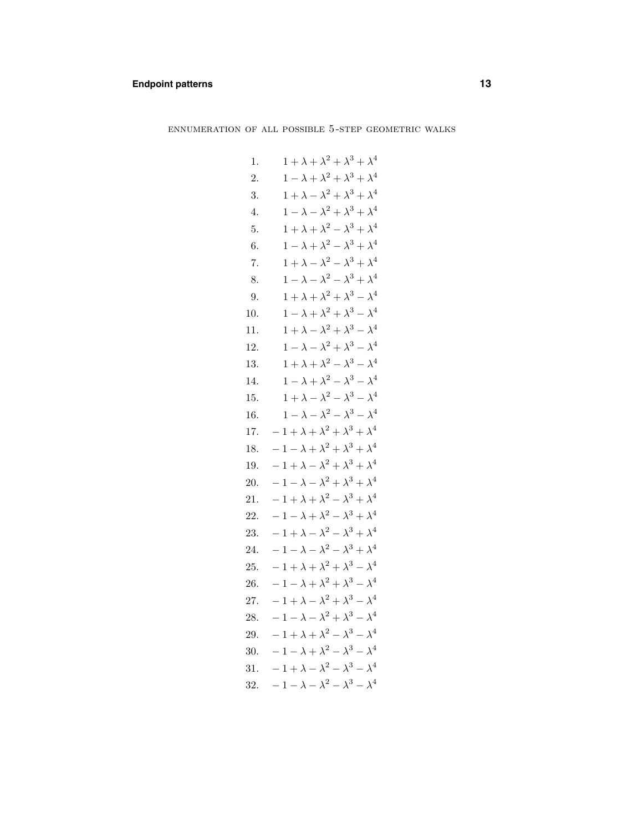# **Endpoint patterns 13**

ennumeration of all possible 5-step geometric walks

1. 
$$
1 + \lambda + \lambda^2 + \lambda^3 + \lambda^4
$$
  
\n2.  $1 - \lambda + \lambda^2 + \lambda^3 + \lambda^4$   
\n3.  $1 + \lambda - \lambda^2 + \lambda^3 + \lambda^4$   
\n4.  $1 - \lambda - \lambda^2 + \lambda^3 + \lambda^4$   
\n5.  $1 + \lambda + \lambda^2 - \lambda^3 + \lambda^4$   
\n6.  $1 - \lambda + \lambda^2 - \lambda^3 + \lambda^4$   
\n7.  $1 + \lambda - \lambda^2 - \lambda^3 + \lambda^4$   
\n8.  $1 - \lambda - \lambda^2 - \lambda^3 + \lambda^4$   
\n9.  $1 + \lambda + \lambda^2 + \lambda^3 - \lambda^4$   
\n10.  $1 - \lambda + \lambda^2 + \lambda^3 - \lambda^4$   
\n11.  $1 + \lambda - \lambda^2 + \lambda^3 - \lambda^4$   
\n12.  $1 - \lambda - \lambda^2 + \lambda^3 - \lambda^4$   
\n13.  $1 + \lambda + \lambda^2 - \lambda^3 - \lambda^4$   
\n14.  $1 - \lambda + \lambda^2 - \lambda^3 - \lambda^4$   
\n15.  $1 + \lambda - \lambda^2 - \lambda^3 - \lambda^4$   
\n16.  $1 - \lambda - \lambda^2 - \lambda^3 - \lambda^4$   
\n17.  $-1 + \lambda + \lambda^2 + \lambda^3 + \lambda^4$   
\n18.  $-1 - \lambda + \lambda^2 + \lambda^3 + \lambda^4$   
\n19.  $-1 + \lambda - \lambda^2 + \lambda^3 + \lambda^4$   
\n20.  $-1 - \lambda - \lambda^2 + \lambda^3 + \lambda^4$   
\n21.  $-1 + \lambda + \lambda^2 - \lambda^3 + \lambda^4$   
\n22.  $-1 - \lambda + \lambda^2 - \lambda^3 + \lambda^4$   
\n23.  $-1 + \lambda - \lambda^2 - \lambda^3 + \lambda^4$   
\n24.  $-1 - \lambda - \lambda^2 - \lambda^3 + \lambda^4$   
\n25.  $-1 + \lambda + \lambda^2 + \lambda^3 - \lambda^4$   
\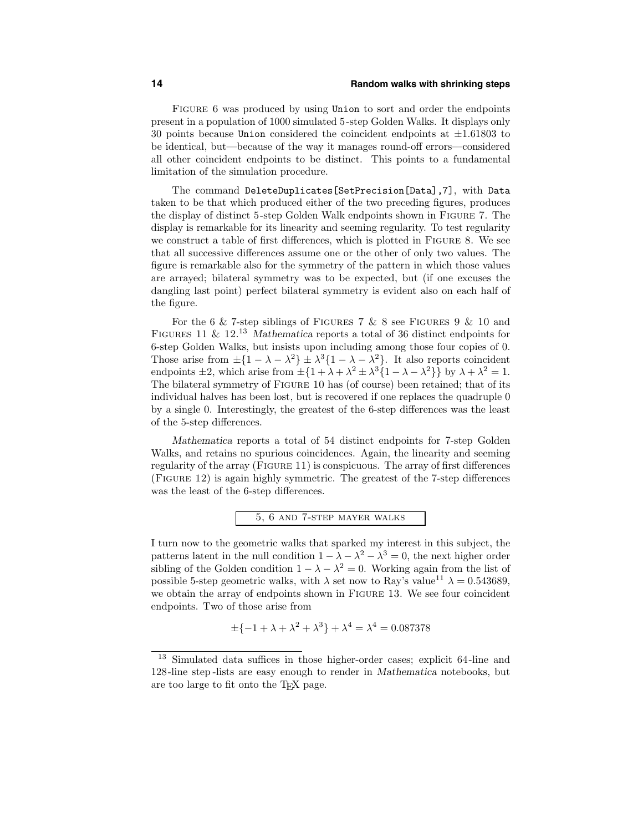Figure 6 was produced by using Union to sort and order the endpoints present in a population of 1000 simulated 5-step Golden Walks. It displays only 30 points because Union considered the coincident endpoints at  $\pm 1.61803$  to be identical, but—because of the way it manages round-off errors—considered all other coincident endpoints to be distinct. This points to a fundamental limitation of the simulation procedure.

The command DeleteDuplicates[SetPrecision[Data],7], with Data taken to be that which produced either of the two preceding figures, produces the display of distinct 5-step Golden Walk endpoints shown in Figure 7. The display is remarkable for its linearity and seeming regularity. To test regularity we construct a table of first differences, which is plotted in Figure 8. We see that all successive differences assume one or the other of only two values. The figure is remarkable also for the symmetry of the pattern in which those values are arrayed; bilateral symmetry was to be expected, but (if one excuses the dangling last point) perfect bilateral symmetry is evident also on each half of the figure.

For the 6  $\&$  7-step siblings of FIGURES 7  $\&$  8 see FIGURES 9  $\&$  10 and FIGURES 11 &  $12^{13}$  Mathematica reports a total of 36 distinct endpoints for 6-step Golden Walks, but insists upon including among those four copies of 0. Those arise from  $\pm \{1 - \lambda - \lambda^2\} \pm \lambda^3 \{1 - \lambda - \lambda^2\}$ . It also reports coincident endpoints  $\pm 2$ , which arise from  $\pm \{1 + \lambda + \lambda^2 \pm \lambda^3 \{1 - \lambda - \lambda^2\}\}\$  by  $\lambda + \lambda^2 = 1$ . The bilateral symmetry of Figure 10 has (of course) been retained; that of its individual halves has been lost, but is recovered if one replaces the quadruple 0 by a single 0. Interestingly, the greatest of the 6-step differences was the least of the 5-step differences.

Mathematica reports a total of 54 distinct endpoints for 7-step Golden Walks, and retains no spurious coincidences. Again, the linearity and seeming regularity of the array (Figure 11) is conspicuous. The array of first differences (Figure 12) is again highly symmetric. The greatest of the 7-step differences was the least of the 6-step differences.



I turn now to the geometric walks that sparked my interest in this subject, the patterns latent in the null condition  $1 - \lambda - \lambda^2 - \lambda^3 = 0$ , the next higher order sibling of the Golden condition  $1 - \lambda - \lambda^2 = 0$ . Working again from the list of possible 5-step geometric walks, with  $\lambda$  set now to Ray's value<sup>11</sup>  $\lambda = 0.543689$ , we obtain the array of endpoints shown in FIGURE 13. We see four coincident endpoints. Two of those arise from

$$
\pm \{-1 + \lambda + \lambda^2 + \lambda^3\} + \lambda^4 = \lambda^4 = 0.087378
$$

<sup>13</sup> Simulated data suffices in those higher-order cases; explicit 64-line and 128-line step -lists are easy enough to render in Mathematica notebooks, but are too large to fit onto the TEX page.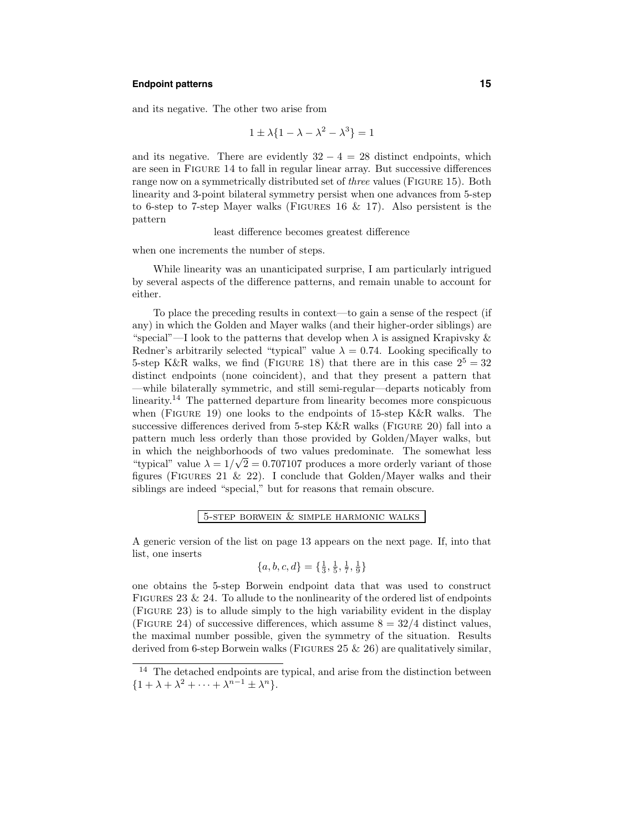### **Endpoint patterns 15**

and its negative. The other two arise from

$$
1 \pm \lambda \{1 - \lambda - \lambda^2 - \lambda^3\} = 1
$$

and its negative. There are evidently  $32 - 4 = 28$  distinct endpoints, which are seen in Figure 14 to fall in regular linear array. But successive differences range now on a symmetrically distributed set of *three* values (FIGURE 15). Both linearity and 3-point bilateral symmetry persist when one advances from 5-step to 6-step to 7-step Mayer walks (Figures 16 & 17). Also persistent is the pattern

least difference becomes greatest difference

when one increments the number of steps.

While linearity was an unanticipated surprise, I am particularly intrigued by several aspects of the difference patterns, and remain unable to account for either.

To place the preceding results in context—to gain a sense of the respect (if any) in which the Golden and Mayer walks (and their higher-order siblings) are "special"—I look to the patterns that develop when  $\lambda$  is assigned Krapivsky & Redner's arbitrarily selected "typical" value  $\lambda = 0.74$ . Looking specifically to 5-step K&R walks, we find (FIGURE 18) that there are in this case  $2^5 = 32$ distinct endpoints (none coincident), and that they present a pattern that —while bilaterally symmetric, and still semi-regular—departs noticably from linearity. <sup>14</sup> The patterned departure from linearity becomes more conspicuous when (FIGURE 19) one looks to the endpoints of 15-step K&R walks. The successive differences derived from 5-step K&R walks (FIGURE 20) fall into a pattern much less orderly than those provided by Golden/Mayer walks, but in which the neighborhoods of two values predominate. The somewhat less "typical" value  $\lambda = 1/\sqrt{2} = 0.707107$  produces a more orderly variant of those figures (FIGURES 21 & 22). I conclude that Golden/Mayer walks and their siblings are indeed "special," but for reasons that remain obscure.

### 5-step borwein & simple harmonic walks

A generic version of the list on page 13 appears on the next page. If, into that list, one inserts

$$
\{a, b, c, d\} = \{\frac{1}{3}, \frac{1}{5}, \frac{1}{7}, \frac{1}{9}\}
$$

one obtains the 5-step Borwein endpoint data that was used to construct FIGURES 23  $\&$  24. To allude to the nonlinearity of the ordered list of endpoints (Figure 23) is to allude simply to the high variability evident in the display (FIGURE 24) of successive differences, which assume  $8 = 32/4$  distinct values, the maximal number possible, given the symmetry of the situation. Results derived from 6-step Borwein walks (FIGURES  $25 \& 26$ ) are qualitatively similar,

<sup>&</sup>lt;sup>14</sup> The detached endpoints are typical, and arise from the distinction between  ${1 + \lambda + \lambda^2 + \cdots + \lambda^{n-1} \pm \lambda^n}.$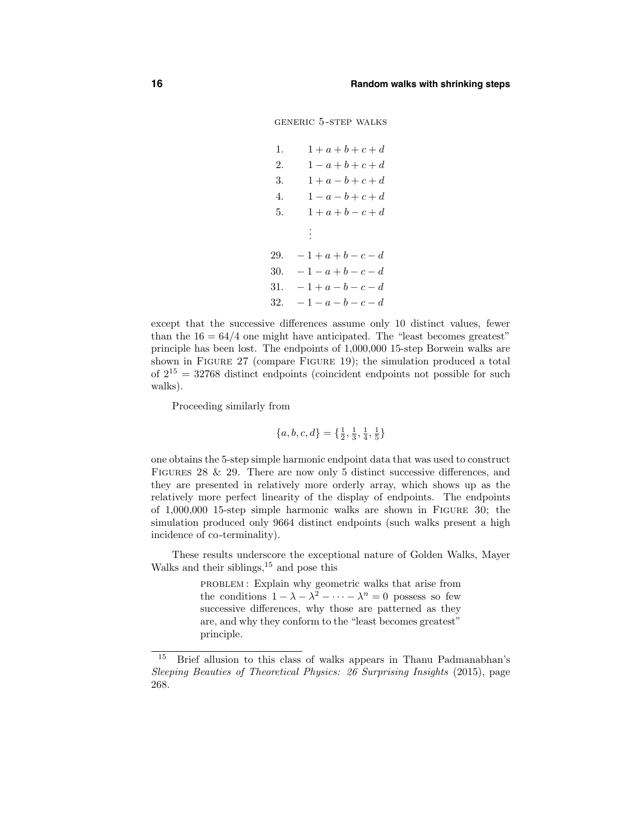generic 5-step walks

```
1. 1 + a + b + c + d2. 1 - a + b + c + d3. 1 + a - b + c + d4. 1 - a - b + c + d5. 1 + a + b - c + d.
      .
      .
29. -1+a+b-c-d30. -1 - a + b - c - d31. -1 + a - b - c - d32. -1-a-b-c-d
```
except that the successive differences assume only 10 distinct values, fewer than the  $16 = 64/4$  one might have anticipated. The "least becomes greatest" principle has been lost. The endpoints of 1,000,000 15-step Borwein walks are shown in Figure 27 (compare Figure 19); the simulation produced a total of  $2^{15} = 32768$  distinct endpoints (coincident endpoints not possible for such walks).

Proceeding similarly from

$$
\{a, b, c, d\} = \{\frac{1}{2}, \frac{1}{3}, \frac{1}{4}, \frac{1}{5}\}
$$

one obtains the 5-step simple harmonic endpoint data that was used to construct FIGURES  $28 \& 29$ . There are now only 5 distinct successive differences, and they are presented in relatively more orderly array, which shows up as the relatively more perfect linearity of the display of endpoints. The endpoints of 1,000,000 15-step simple harmonic walks are shown in Figure 30; the simulation produced only 9664 distinct endpoints (such walks present a high incidence of co-terminality).

These results underscore the exceptional nature of Golden Walks, Mayer Walks and their siblings, <sup>15</sup> and pose this

> PROBLEM: Explain why geometric walks that arise from the conditions  $1 - \lambda - \lambda^2 - \cdots - \lambda^n = 0$  possess so few successive differences, why those are patterned as they are, and why they conform to the "least becomes greatest" principle.

<sup>15</sup> Brief allusion to this class of walks appears in Thanu Padmanabhan's Sleeping Beauties of Theoretical Physics: 26 Surprising Insights (2015), page 268.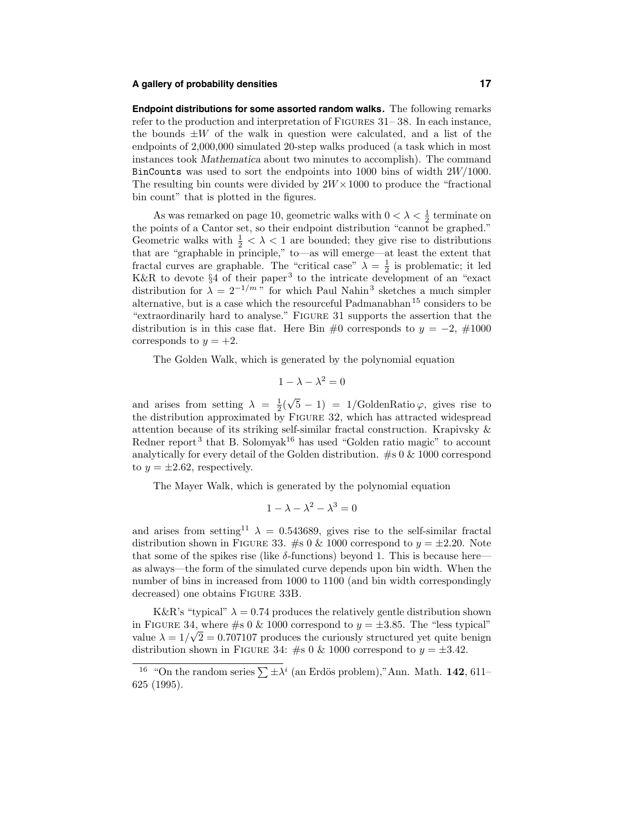### **A gallery of probability densities 17**

**Endpoint distributions for some assorted random walks.** The following remarks refer to the production and interpretation of Figures 31– 38. In each instance, the bounds  $\pm W$  of the walk in question were calculated, and a list of the endpoints of 2,000,000 simulated 20-step walks produced (a task which in most instances took Mathematica about two minutes to accomplish). The command BinCounts was used to sort the endpoints into 1000 bins of width  $2W/1000$ . The resulting bin counts were divided by  $2W \times 1000$  to produce the "fractional" bin count" that is plotted in the figures.

As was remarked on page 10, geometric walks with  $0 < \lambda < \frac{1}{2}$  terminate on the points of a Cantor set, so their endpoint distribution "cannot be graphed." Geometric walks with  $\frac{1}{2} < \lambda < 1$  are bounded; they give rise to distributions that are "graphable in principle," to—as will emerge—at least the extent that fractal curves are graphable. The "critical case"  $\lambda = \frac{1}{2}$  is problematic; it led K&R to devote §4 of their paper<sup>3</sup> to the intricate development of an "exact" distribution for  $\lambda = 2^{-1/m}$  " for which Paul Nahin<sup>3</sup> sketches a much simpler alternative, but is a case which the resourceful Padmanabhan<sup>15</sup> considers to be "extraordinarily hard to analyse." Figure 31 supports the assertion that the distribution is in this case flat. Here Bin #0 corresponds to  $y = -2$ , #1000 corresponds to  $y = +2$ .

The Golden Walk, which is generated by the polynomial equation

$$
1 - \lambda - \lambda^2 = 0
$$

and arises from setting  $\lambda = \frac{1}{2}(\sqrt{5} - 1) = 1/G$ oldenRatio  $\varphi$ , gives rise to the distribution approximated by Figure 32, which has attracted widespread attention because of its striking self-similar fractal construction. Krapivsky & Redner report<sup>3</sup> that B. Solomyak<sup>16</sup> has used "Golden ratio magic" to account analytically for every detail of the Golden distribution.  $\#s \downarrow 0 \& 1000$  correspond to  $y = \pm 2.62$ , respectively.

The Mayer Walk, which is generated by the polynomial equation

$$
1 - \lambda - \lambda^2 - \lambda^3 = 0
$$

and arises from setting<sup>11</sup>  $\lambda = 0.543689$ , gives rise to the self-similar fractal distribution shown in FIGURE 33. #s 0 & 1000 correspond to  $y = \pm 2.20$ . Note that some of the spikes rise (like  $\delta$ -functions) beyond 1. This is because here as always—the form of the simulated curve depends upon bin width. When the number of bins in increased from 1000 to 1100 (and bin width correspondingly decreased) one obtains Figure 33B.

K&R's "typical"  $\lambda = 0.74$  produces the relatively gentle distribution shown in FIGURE 34, where #s 0 & 1000 correspond to  $y = \pm 3.85$ . The "less typical" where  $\sqrt{2} = 0.707107$  produces the curiously structured yet quite benign distribution shown in FIGURE 34: #s 0 & 1000 correspond to  $y = \pm 3.42$ .

<sup>&</sup>lt;sup>16</sup> "On the random series  $\sum \pm \lambda^i$  (an Erdös problem),"Ann. Math. 142, 611– 625 (1995).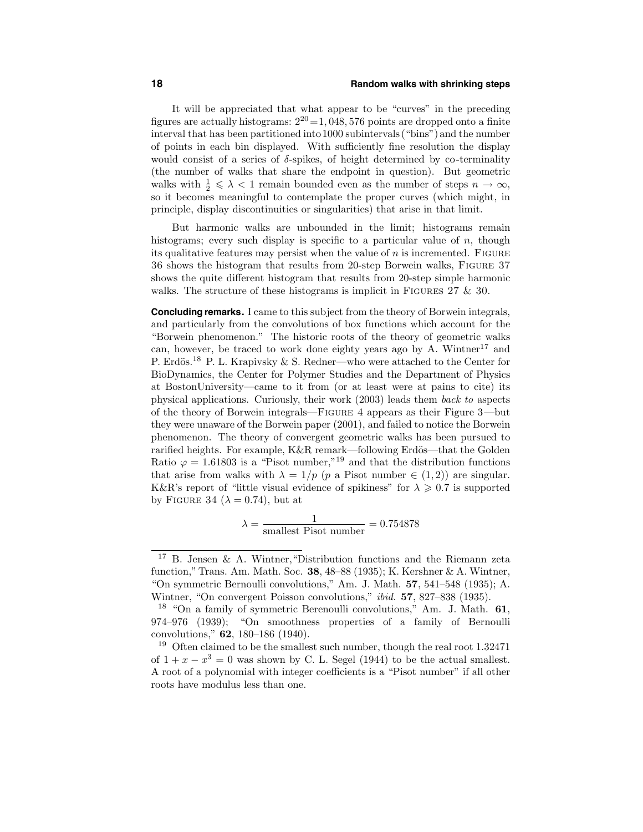### **18 Random walks with shrinking steps**

It will be appreciated that what appear to be "curves" in the preceding figures are actually histograms:  $2^{20} = 1,048,576$  points are dropped onto a finite interval that has been partitioned into1000 subintervals("bins")and the number of points in each bin displayed. With sufficiently fine resolution the display would consist of a series of  $\delta$ -spikes, of height determined by co-terminality (the number of walks that share the endpoint in question). But geometric walks with  $\frac{1}{2} \leq \lambda < 1$  remain bounded even as the number of steps  $n \to \infty$ , so it becomes meaningful to contemplate the proper curves (which might, in principle, display discontinuities or singularities) that arise in that limit.

But harmonic walks are unbounded in the limit; histograms remain histograms; every such display is specific to a particular value of  $n$ , though its qualitative features may persist when the value of  $n$  is incremented. FIGURE 36 shows the histogram that results from 20-step Borwein walks, Figure 37 shows the quite different histogram that results from 20-step simple harmonic walks. The structure of these histograms is implicit in FIGURES  $27 \& 30$ .

**Concluding remarks.** I came to this subject from the theory of Borwein integrals, and particularly from the convolutions of box functions which account for the "Borwein phenomenon." The historic roots of the theory of geometric walks can, however, be traced to work done eighty years ago by  $A$ . Wintner<sup>17</sup> and P. Erdös.<sup>18</sup> P. L. Krapivsky & S. Redner—who were attached to the Center for BioDynamics, the Center for Polymer Studies and the Department of Physics at BostonUniversity—came to it from (or at least were at pains to cite) its physical applications. Curiously, their work (2003) leads them back to aspects of the theory of Borwein integrals—Figure 4 appears as their Figure 3—but they were unaware of the Borwein paper (2001), and failed to notice the Borwein phenomenon. The theory of convergent geometric walks has been pursued to rarified heights. For example, K&R remark—following Erdös—that the Golden Ratio  $\varphi = 1.61803$  is a "Pisot number,"<sup>19</sup> and that the distribution functions that arise from walks with  $\lambda = 1/p$  (p a Pisot number  $\in (1, 2)$ ) are singular. K&R's report of "little visual evidence of spikiness" for  $\lambda \geqslant 0.7$  is supported by FIGURE 34 ( $\lambda = 0.74$ ), but at

$$
\lambda = \frac{1}{\text{smallest Pisot number}} = 0.754878
$$

<sup>17</sup> B. Jensen & A. Wintner,"Distribution functions and the Riemann zeta function," Trans. Am. Math. Soc. 38, 48–88 (1935); K. Kershner & A. Wintner, "On symmetric Bernoulli convolutions," Am. J. Math. 57, 541–548 (1935); A. Wintner, "On convergent Poisson convolutions," *ibid.* 57, 827–838 (1935).

<sup>18</sup> "On a family of symmetric Berenoulli convolutions," Am. J. Math. 61, 974–976 (1939); "On smoothness properties of a family of Bernoulli convolutions," 62, 180–186 (1940).

<sup>&</sup>lt;sup>19</sup> Often claimed to be the smallest such number, though the real root  $1.32471$ of  $1 + x - x^3 = 0$  was shown by C. L. Segel (1944) to be the actual smallest. A root of a polynomial with integer coefficients is a "Pisot number" if all other roots have modulus less than one.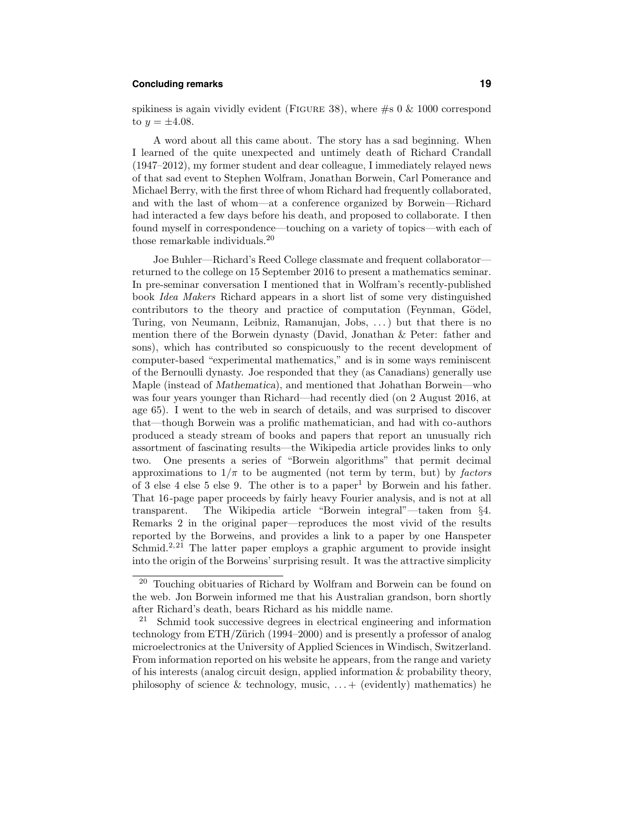### **Concluding remarks 19**

spikiness is again vividly evident (FIGURE 38), where  $\#s$  0  $\&$  1000 correspond to  $y = \pm 4.08$ .

A word about all this came about. The story has a sad beginning. When I learned of the quite unexpected and untimely death of Richard Crandall (1947–2012), my former student and dear colleague, I immediately relayed news of that sad event to Stephen Wolfram, Jonathan Borwein, Carl Pomerance and Michael Berry, with the first three of whom Richard had frequently collaborated, and with the last of whom—at a conference organized by Borwein—Richard had interacted a few days before his death, and proposed to collaborate. I then found myself in correspondence—touching on a variety of topics—with each of those remarkable individuals.<sup>20</sup>

Joe Buhler—Richard's Reed College classmate and frequent collaborator returned to the college on 15 September 2016 to present a mathematics seminar. In pre-seminar conversation I mentioned that in Wolfram's recently-published book Idea Makers Richard appears in a short list of some very distinguished contributors to the theory and practice of computation (Feynman, Gödel, Turing, von Neumann, Leibniz, Ramanujan, Jobs, . . .) but that there is no mention there of the Borwein dynasty (David, Jonathan & Peter: father and sons), which has contributed so conspicuously to the recent development of computer-based "experimental mathematics," and is in some ways reminiscent of the Bernoulli dynasty. Joe responded that they (as Canadians) generally use Maple (instead of Mathematica), and mentioned that Johathan Borwein—who was four years younger than Richard—had recently died (on 2 August 2016, at age 65). I went to the web in search of details, and was surprised to discover that—though Borwein was a prolific mathematician, and had with co-authors produced a steady stream of books and papers that report an unusually rich assortment of fascinating results—the Wikipedia article provides links to only two. One presents a series of "Borwein algorithms" that permit decimal approximations to  $1/\pi$  to be augmented (not term by term, but) by factors of 3 else 4 else 5 else 9. The other is to a paper<sup>1</sup> by Borwein and his father. That 16-page paper proceeds by fairly heavy Fourier analysis, and is not at all transparent. The Wikipedia article "Borwein integral"—taken from §4. Remarks 2 in the original paper—reproduces the most vivid of the results reported by the Borweins, and provides a link to a paper by one Hanspeter Schmid.<sup>2,21</sup> The latter paper employs a graphic argument to provide insight into the origin of the Borweins' surprising result. It was the attractive simplicity

 $^{20}\,$  Touching obituaries of Richard by Wolfram and Borwein can be found on the web. Jon Borwein informed me that his Australian grandson, born shortly after Richard's death, bears Richard as his middle name.

<sup>&</sup>lt;sup>21</sup> Schmid took successive degrees in electrical engineering and information technology from  $ETH/Z$  urich (1994–2000) and is presently a professor of analog microelectronics at the University of Applied Sciences in Windisch, Switzerland. From information reported on his website he appears, from the range and variety of his interests (analog circuit design, applied information & probability theory, philosophy of science & technology, music,  $\dots$  + (evidently) mathematics) he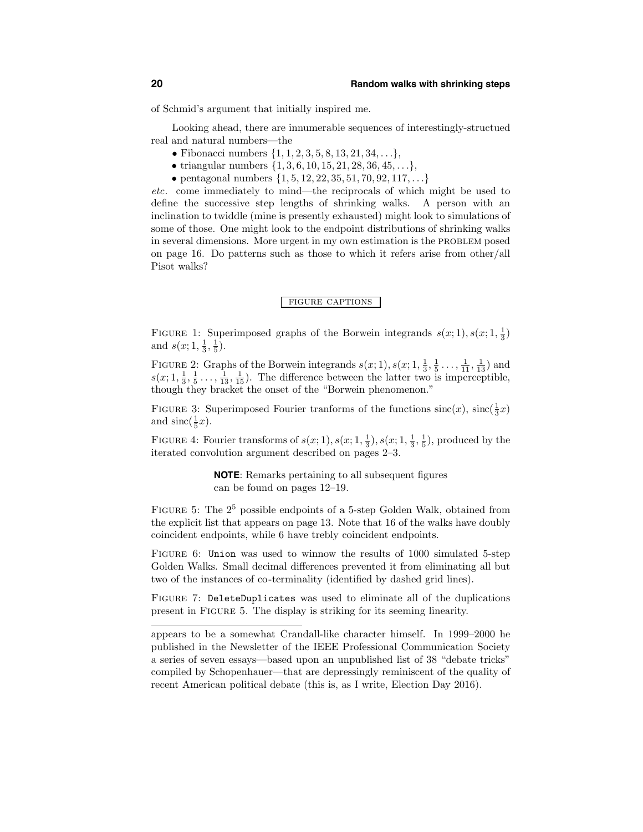of Schmid's argument that initially inspired me.

Looking ahead, there are innumerable sequences of interestingly-structued real and natural numbers—the

- Fibonacci numbers  $\{1, 1, 2, 3, 5, 8, 13, 21, 34, \ldots\},\$
- triangular numbers  $\{1, 3, 6, 10, 15, 21, 28, 36, 45, \ldots\},\$
- pentagonal numbers  $\{1, 5, 12, 22, 35, 51, 70, 92, 117, \ldots\}$

etc. come immediately to mind—the reciprocals of which might be used to define the successive step lengths of shrinking walks. A person with an inclination to twiddle (mine is presently exhausted) might look to simulations of some of those. One might look to the endpoint distributions of shrinking walks in several dimensions. More urgent in my own estimation is the PROBLEM posed on page 16. Do patterns such as those to which it refers arise from other/all Pisot walks?

### figure captions

FIGURE 1: Superimposed graphs of the Borwein integrands  $s(x; 1), s(x; 1, \frac{1}{3})$ and  $s(x; 1, \frac{1}{3}, \frac{1}{5})$ .

FIGURE 2: Graphs of the Borwein integrands  $s(x; 1), s(x; 1, \frac{1}{3}, \frac{1}{5}, \ldots, \frac{1}{11}, \frac{1}{13})$  and  $s(x; 1, \frac{1}{3}, \frac{1}{5}, \ldots, \frac{1}{13}, \frac{1}{15})$ . The difference between the latter two is imperceptible, though they bracket the onset of the "Borwein phenomenon."

FIGURE 3: Superimposed Fourier tranforms of the functions  $\operatorname{sinc}(x)$ ,  $\operatorname{sinc}(\frac{1}{3}x)$ and  $\operatorname{sinc}(\frac{1}{5}x)$ .

FIGURE 4: Fourier transforms of  $s(x; 1), s(x; 1, \frac{1}{3}), s(x; 1, \frac{1}{3}, \frac{1}{5})$ , produced by the iterated convolution argument described on pages 2–3.

> **NOTE**: Remarks pertaining to all subsequent figures can be found on pages 12–19.

FIGURE 5: The  $2^5$  possible endpoints of a 5-step Golden Walk, obtained from the explicit list that appears on page 13. Note that 16 of the walks have doubly coincident endpoints, while 6 have trebly coincident endpoints.

FIGURE 6: Union was used to winnow the results of 1000 simulated 5-step Golden Walks. Small decimal differences prevented it from eliminating all but two of the instances of co-terminality (identified by dashed grid lines).

Figure 7: DeleteDuplicates was used to eliminate all of the duplications present in Figure 5. The display is striking for its seeming linearity.

appears to be a somewhat Crandall-like character himself. In 1999–2000 he published in the Newsletter of the IEEE Professional Communication Society a series of seven essays—based upon an unpublished list of 38 "debate tricks" compiled by Schopenhauer—that are depressingly reminiscent of the quality of recent American political debate (this is, as I write, Election Day 2016).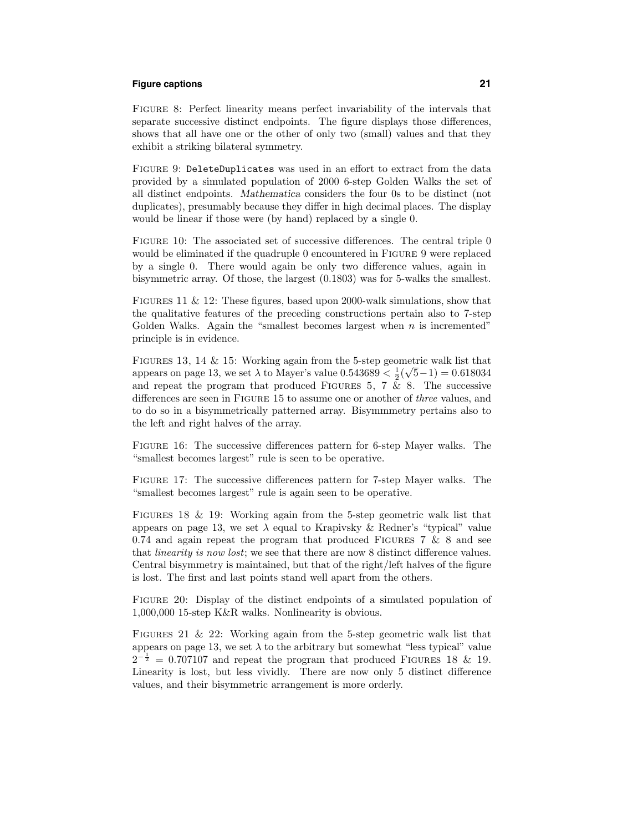### **Figure captions 21**

Figure 8: Perfect linearity means perfect invariability of the intervals that separate successive distinct endpoints. The figure displays those differences, shows that all have one or the other of only two (small) values and that they exhibit a striking bilateral symmetry.

Figure 9: DeleteDuplicates was used in an effort to extract from the data provided by a simulated population of 2000 6-step Golden Walks the set of all distinct endpoints. Mathematica considers the four 0s to be distinct (not duplicates), presumably because they differ in high decimal places. The display would be linear if those were (by hand) replaced by a single 0.

FIGURE 10: The associated set of successive differences. The central triple 0 would be eliminated if the quadruple 0 encountered in FIGURE 9 were replaced by a single 0. There would again be only two difference values, again in bisymmetric array. Of those, the largest (0.1803) was for 5-walks the smallest.

Figures 11 & 12: These figures, based upon 2000-walk simulations, show that the qualitative features of the preceding constructions pertain also to 7-step Golden Walks. Again the "smallest becomes largest when  $n$  is incremented" principle is in evidence.

FIGURES 13, 14  $\&$  15: Working again from the 5-step geometric walk list that appears on page 13, we set  $\lambda$  to Mayer's value 0.543689  $\lt \frac{1}{2}(\sqrt{5}-1) = 0.618034$ and repeat the program that produced FIGURES 5, 7  $\overline{\&}$  8. The successive differences are seen in FIGURE 15 to assume one or another of *three* values, and to do so in a bisymmetrically patterned array. Bisymmmetry pertains also to the left and right halves of the array.

Figure 16: The successive differences pattern for 6-step Mayer walks. The "smallest becomes largest" rule is seen to be operative.

Figure 17: The successive differences pattern for 7-step Mayer walks. The "smallest becomes largest" rule is again seen to be operative.

FIGURES 18 & 19: Working again from the 5-step geometric walk list that appears on page 13, we set  $\lambda$  equal to Krapivsky & Redner's "typical" value 0.74 and again repeat the program that produced FIGURES 7  $\&$  8 and see that *linearity is now lost*; we see that there are now 8 distinct difference values. Central bisymmetry is maintained, but that of the right/left halves of the figure is lost. The first and last points stand well apart from the others.

FIGURE 20: Display of the distinct endpoints of a simulated population of 1,000,000 15-step K&R walks. Nonlinearity is obvious.

FIGURES 21 & 22: Working again from the 5-step geometric walk list that appears on page 13, we set  $\lambda$  to the arbitrary but somewhat "less typical" value  $2^{-\frac{1}{2}} = 0.707107$  and repeat the program that produced FIGURES 18 & 19. Linearity is lost, but less vividly. There are now only 5 distinct difference values, and their bisymmetric arrangement is more orderly.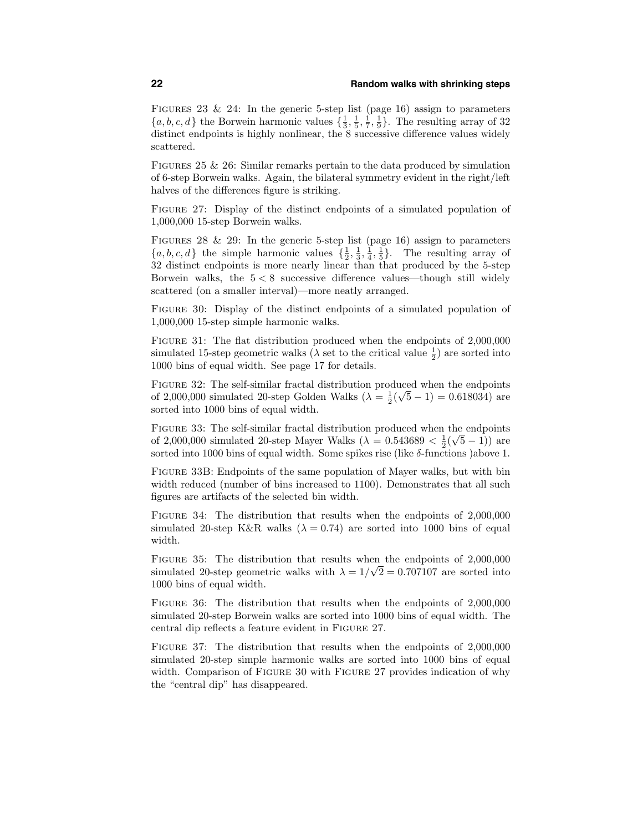FIGURES 23 & 24: In the generic 5-step list (page 16) assign to parameters  $\{a, b, c, d\}$  the Borwein harmonic values  $\{\frac{1}{3}, \frac{1}{5}, \frac{1}{7}, \frac{1}{9}\}$ . The resulting array of 32 distinct endpoints is highly nonlinear, the  $8$  successive difference values widely scattered.

FIGURES 25  $&$  26: Similar remarks pertain to the data produced by simulation of 6-step Borwein walks. Again, the bilateral symmetry evident in the right/left halves of the differences figure is striking.

Figure 27: Display of the distinct endpoints of a simulated population of 1,000,000 15-step Borwein walks.

FIGURES 28 & 29: In the generic 5-step list (page 16) assign to parameters  $\{a, b, c, d\}$  the simple harmonic values  $\{\frac{1}{2}, \frac{1}{3}, \frac{1}{4}, \frac{1}{5}\}.$  The resulting array of 32 distinct endpoints is more nearly linear than that produced by the 5-step Borwein walks, the  $5 < 8$  successive difference values—though still widely scattered (on a smaller interval)—more neatly arranged.

FIGURE 30: Display of the distinct endpoints of a simulated population of 1,000,000 15-step simple harmonic walks.

FIGURE 31: The flat distribution produced when the endpoints of 2,000,000 simulated 15-step geometric walks ( $\lambda$  set to the critical value  $\frac{1}{2}$ ) are sorted into 1000 bins of equal width. See page 17 for details.

Figure 32: The self-similar fractal distribution produced when the endpoints of 2,000,000 simulated 20-step Golden Walks  $(\lambda = \frac{1}{2}(\sqrt{5}-1) = 0.618034)$  are sorted into 1000 bins of equal width.

Figure 33: The self-similar fractal distribution produced when the endpoints of 2,000,000 simulated 20-step Mayer Walks  $(\lambda = 0.543689 < \frac{1}{2}(\sqrt{5}-1))$  are sorted into 1000 bins of equal width. Some spikes rise (like  $\delta$ -functions )above 1.

Figure 33B: Endpoints of the same population of Mayer walks, but with bin width reduced (number of bins increased to 1100). Demonstrates that all such figures are artifacts of the selected bin width.

Figure 34: The distribution that results when the endpoints of 2,000,000 simulated 20-step K&R walks ( $\lambda = 0.74$ ) are sorted into 1000 bins of equal width.

Figure 35: The distribution that results when the endpoints of 2,000,000 simulated 20-step geometric walks with  $\lambda = 1/\sqrt{2} = 0.707107$  are sorted into 1000 bins of equal width.

Figure 36: The distribution that results when the endpoints of 2,000,000 simulated 20-step Borwein walks are sorted into 1000 bins of equal width. The central dip reflects a feature evident in Figure 27.

FIGURE 37: The distribution that results when the endpoints of  $2,000,000$ simulated 20-step simple harmonic walks are sorted into 1000 bins of equal width. Comparison of FIGURE 30 with FIGURE 27 provides indication of why the "central dip" has disappeared.